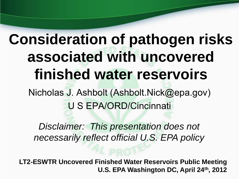# **Consideration of pathogen risks associated with uncovered finished water reservoirs**

Nicholas J. Ashbolt (Ashbolt.Nick@epa.gov )U S EPA/ORD/Cincinnati

*Disclaimer: This presentation does not necessarily reflect official U.S. EPA policy*

**LT2-ESWTR Uncovered Finished Water Reservoirs Public Meeting U.S. EPA Washington DC, April 24th, 2012**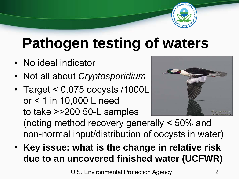

## **Pathogen testing of waters**

- No ideal indicator
- Not all about *Cryptosporidium*
- Target < 0.075 oocysts /1000L or < 1 in 10,000 L need to take >>200 50-L samples (noting method recovery generally < 50% and non-normal input/distribution of oocysts in water)
- **Key issue: what is the change in relative risk due to an uncovered finished water (UCFWR)**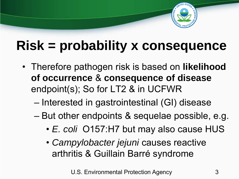

### **Risk = probability x consequence**

- Therefore pathogen risk is based on **likelihood of occurrence** & **consequence of disease**  endpoint(s); So for LT2 & in UCFWR
	- Interested in gastrointestinal (GI) disease
	- But other endpoints & sequelae possible, e.g.
		- *E. coli* O157:H7 but may also cause HUS
		- *Campylobacter jejuni* causes reactive arthritis & Guillain Barré syndrome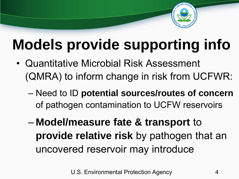

# **Models provide supporting info**

- Quantitative Microbial Risk Assessment (QMRA) to inform change in risk from UCFWR:
	- Need to ID **potential sources/routes of concern**  of pathogen contamination to UCFW reservoirs
	- **Model/measure fate & transport** to **provide relative risk** by pathogen that an uncovered reservoir may introduce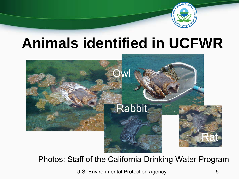

### **Animals identified in UCFWR**



Photos: Staff of the California Drinking Water Program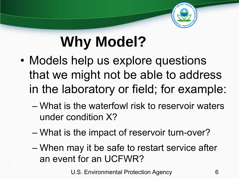

# **Why Model?**

- Models help us explore questions that we might not be able to address in the laboratory or field; for example:
	- What is the waterfowl risk to reservoir waters under condition X?
	- What is the impact of reservoir turn-over?
	- When may it be safe to restart service after an event for an UCFWR?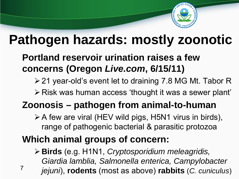

### **Pathogen hazards: mostly zoonotic**

#### **Portland reservoir urination raises a few concerns (Oregon** *Live.com***, 6/15/11)**

- 21 year-old's event let to draining 7.8 MG Mt. Tabor R
- Risk was human access 'thought it was a sewer plant'

### **Zoonosis – pathogen from animal-to-human**

- A few are viral (HEV wild pigs, H5N1 virus in birds), range of pathogenic bacterial & parasitic protozoa
- **Which animal groups of concern:**
- **Birds** (e.g. H1N1, *Cryptosporidium meleagridis, Giardia lamblia, Salmonella enterica, Campylobacter jejuni*), **rodents** (most as above) **rabbits** (*C. cuniculus*) 7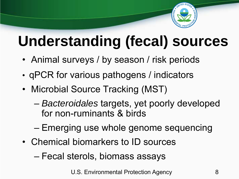

# **Understanding (fecal) sources**

- Animal surveys / by season / risk periods
- qPCR for various pathogens / indicators
- Microbial Source Tracking (MST)
	- *Bacteroidales* targets, yet poorly developed for non-ruminants & birds
	- Emerging use whole genome sequencing
- Chemical biomarkers to ID sources
	- Fecal sterols, biomass assays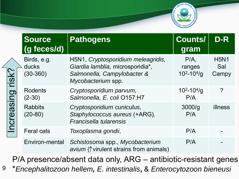

|                                                                                                                                        | <b>Source</b><br>(g feces/d)         | <b>Pathogens</b>                                                                                                            | <b>Counts/</b><br>gram            | D-R                         |
|----------------------------------------------------------------------------------------------------------------------------------------|--------------------------------------|-----------------------------------------------------------------------------------------------------------------------------|-----------------------------------|-----------------------------|
| risk?<br>Increasing                                                                                                                    | Birds, e.g.<br>ducks<br>$(30 - 360)$ | H5N1, Cryptosporidium meleagridis,<br>Giardia lamblia, microsporidia*,<br>Salmonella, Campylobacter &<br>Mycobacterium spp. | P/A<br>ranges<br>$10^2 - 10^4$ /g | <b>H5N1</b><br>Sal<br>Campy |
|                                                                                                                                        | <b>Rodents</b><br>$(2-30)$           | Cryptosporidium parvum,<br>Salmonella, E. coli O157:H7                                                                      | $10^2 - 10^4$ /g<br>P/A           | $\overline{?}$              |
|                                                                                                                                        | <b>Rabbits</b><br>$(20-80)$          | Cryptosporidium cuniculus,<br>Staphylococcus aureus (+ARG),<br>Francisella tularensis                                       | 3000/q<br>P/A                     | illness                     |
|                                                                                                                                        | <b>Feral cats</b>                    | Toxoplasma gondii,                                                                                                          | P/A                               |                             |
|                                                                                                                                        | Environ-mental                       | Schistosoma spp., Mycobacterium<br>avium ( $\uparrow$ virulent strains from animals)                                        | P/A                               |                             |
| P/A presence/absent data only, ARG - antibiotic-resistant genes<br>*Encephalitozoon hellem, E. intestinalis, & Enterocytozoon bieneusi |                                      |                                                                                                                             |                                   |                             |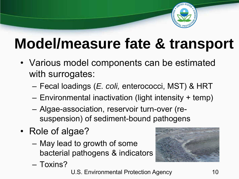

### **Model/measure fate & transport**

- Various model components can be estimated with surrogates:
	- Fecal loadings (*E. coli,* enterococci, MST) & HRT
	- Environmental inactivation (light intensity + temp)
	- Algae-association, reservoir turn-over (resuspension) of sediment-bound pathogens
- Role of algae?
	- May lead to growth of some bacterial pathogens & indicators
	- Toxins?
- U.S. Environmental Protection Agency 10

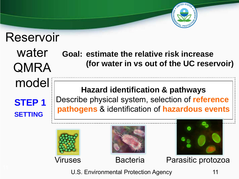

#### water QMRA model **Hazard identification & pathways Goal: estimate the relative risk increase (for water in vs out of the UC reservoir)**

**STEP 1 SETTING**

Reservoir

Describe physical system, selection of **reference pathogens** & identification of **hazardous events**



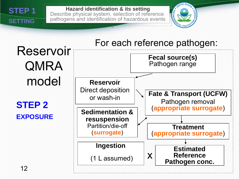

**Hazard identification & its setting** Describe physical system, selection of reference pathogens and identification of hazardous events



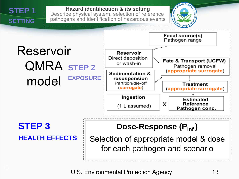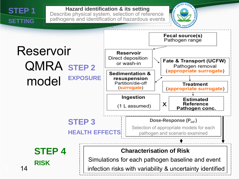